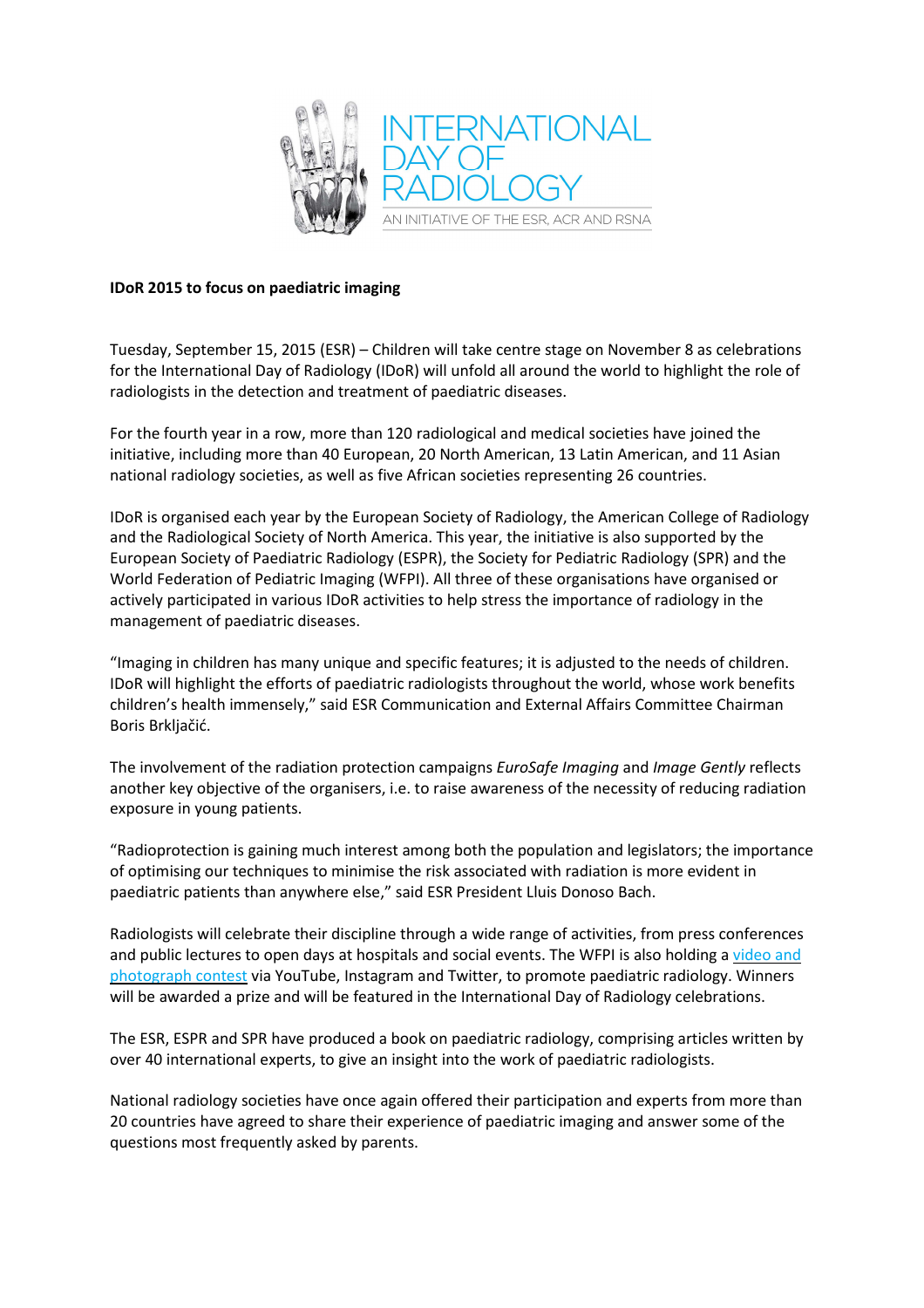

## **IDoR 2015 to focus on paediatric imaging**

Tuesday, September 15, 2015 (ESR) – Children will take centre stage on November 8 as celebrations for the International Day of Radiology (IDoR) will unfold all around the world to highlight the role of radiologists in the detection and treatment of paediatric diseases.

For the fourth year in a row, more than 120 radiological and medical societies have joined the initiative, including more than 40 European, 20 North American, 13 Latin American, and 11 Asian national radiology societies, as well as five African societies representing 26 countries.

IDoR is organised each year by the European Society of Radiology, the American College of Radiology and the Radiological Society of North America. This year, the initiative is also supported by the European Society of Paediatric Radiology (ESPR), the Society for Pediatric Radiology (SPR) and the World Federation of Pediatric Imaging (WFPI). All three of these organisations have organised or actively participated in various IDoR activities to help stress the importance of radiology in the management of paediatric diseases.

"Imaging in children has many unique and specific features; it is adjusted to the needs of children. IDoR will highlight the efforts of paediatric radiologists throughout the world, whose work benefits children's health immensely," said ESR Communication and External Affairs Committee Chairman Boris Brkljačić.

The involvement of the radiation protection campaigns *EuroSafe Imaging* and *Image Gently* reflects another key objective of the organisers, i.e. to raise awareness of the necessity of reducing radiation exposure in young patients.

"Radioprotection is gaining much interest among both the population and legislators; the importance of optimising our techniques to minimise the risk associated with radiation is more evident in paediatric patients than anywhere else," said ESR President Lluis Donoso Bach.

Radiologists will celebrate their discipline through a wide range of activities, from press conferences and public lectures to open days at hospitals and social events. The WFPI is also holding a video and photograph contest via YouTube, Instagram and Twitter, to promote paediatric radiology. Winners will be awarded a prize and will be featured in the International Day of Radiology celebrations.

The ESR, ESPR and SPR have produced a book on paediatric radiology, comprising articles written by over 40 international experts, to give an insight into the work of paediatric radiologists.

National radiology societies have once again offered their participation and experts from more than 20 countries have agreed to share their experience of paediatric imaging and answer some of the questions most frequently asked by parents.